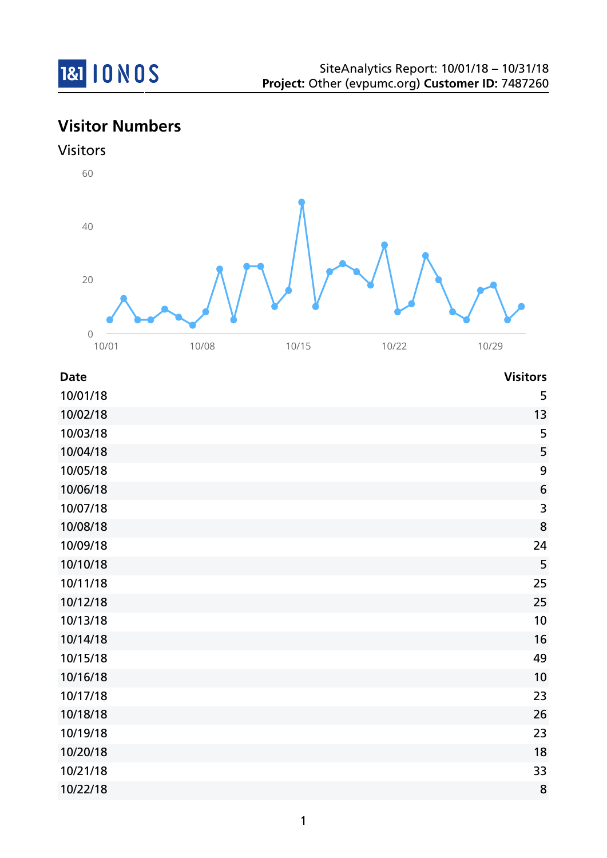

# **Visitor Numbers**





| <b>Date</b> | <b>Visitors</b>         |
|-------------|-------------------------|
| 10/01/18    | 5                       |
| 10/02/18    | 13                      |
| 10/03/18    | 5                       |
| 10/04/18    | 5                       |
| 10/05/18    | 9                       |
| 10/06/18    | $6\phantom{1}6$         |
| 10/07/18    | $\overline{\mathbf{3}}$ |
| 10/08/18    | 8                       |
| 10/09/18    | 24                      |
| 10/10/18    | 5                       |
| 10/11/18    | 25                      |
| 10/12/18    | 25                      |
| 10/13/18    | 10                      |
| 10/14/18    | 16                      |
| 10/15/18    | 49                      |
| 10/16/18    | 10                      |
| 10/17/18    | 23                      |
| 10/18/18    | 26                      |
| 10/19/18    | 23                      |
| 10/20/18    | 18                      |
| 10/21/18    | 33                      |
| 10/22/18    | 8                       |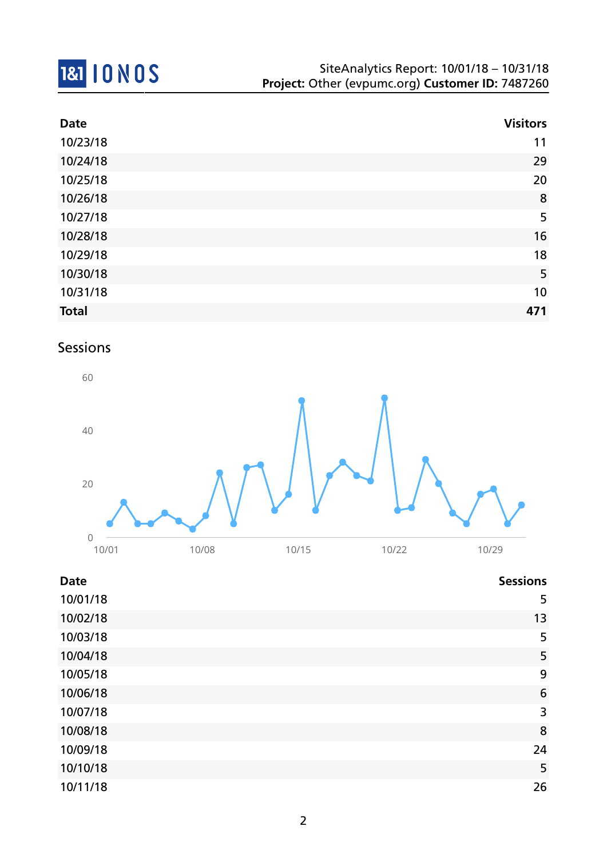

| <b>Date</b>  | <b>Visitors</b> |
|--------------|-----------------|
| 10/23/18     | 11              |
| 10/24/18     | 29              |
| 10/25/18     | 20              |
| 10/26/18     | 8               |
| 10/27/18     | 5               |
| 10/28/18     | 16              |
| 10/29/18     | 18              |
| 10/30/18     | 5               |
| 10/31/18     | 10              |
| <b>Total</b> | 471             |

# Sessions



#### **Date Sessions**

| 10/01/18 | 5               |
|----------|-----------------|
| 10/02/18 | 13              |
| 10/03/18 | 5               |
| 10/04/18 | 5               |
| 10/05/18 | 9               |
| 10/06/18 | $6\phantom{1}6$ |
| 10/07/18 | 3               |
| 10/08/18 | 8               |
| 10/09/18 | 24              |
| 10/10/18 | 5               |
| 10/11/18 | 26              |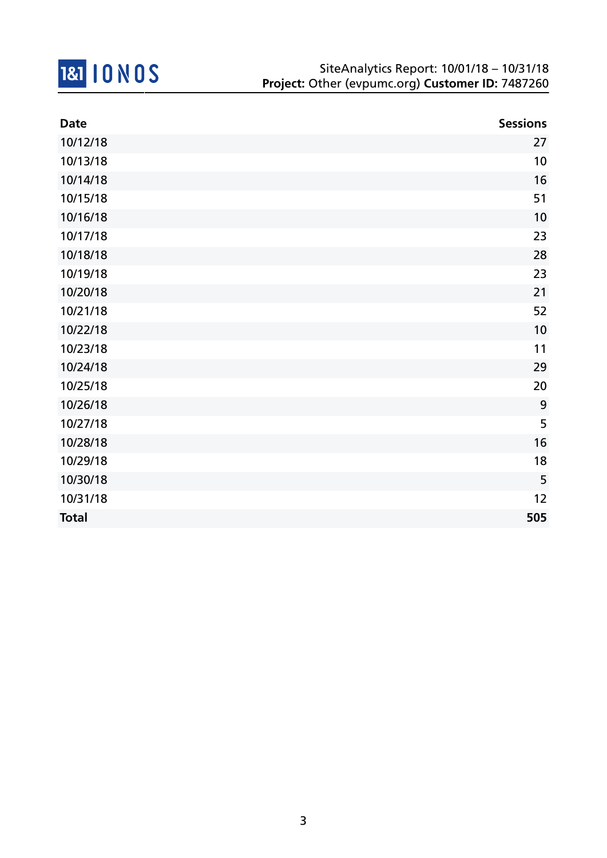

| <b>Date</b>  | <b>Sessions</b> |
|--------------|-----------------|
| 10/12/18     | 27              |
| 10/13/18     | 10              |
| 10/14/18     | 16              |
| 10/15/18     | 51              |
| 10/16/18     | 10              |
| 10/17/18     | 23              |
| 10/18/18     | 28              |
| 10/19/18     | 23              |
| 10/20/18     | 21              |
| 10/21/18     | 52              |
| 10/22/18     | 10              |
| 10/23/18     | 11              |
| 10/24/18     | 29              |
| 10/25/18     | 20              |
| 10/26/18     | 9               |
| 10/27/18     | 5               |
| 10/28/18     | 16              |
| 10/29/18     | 18              |
| 10/30/18     | 5               |
| 10/31/18     | 12              |
| <b>Total</b> | 505             |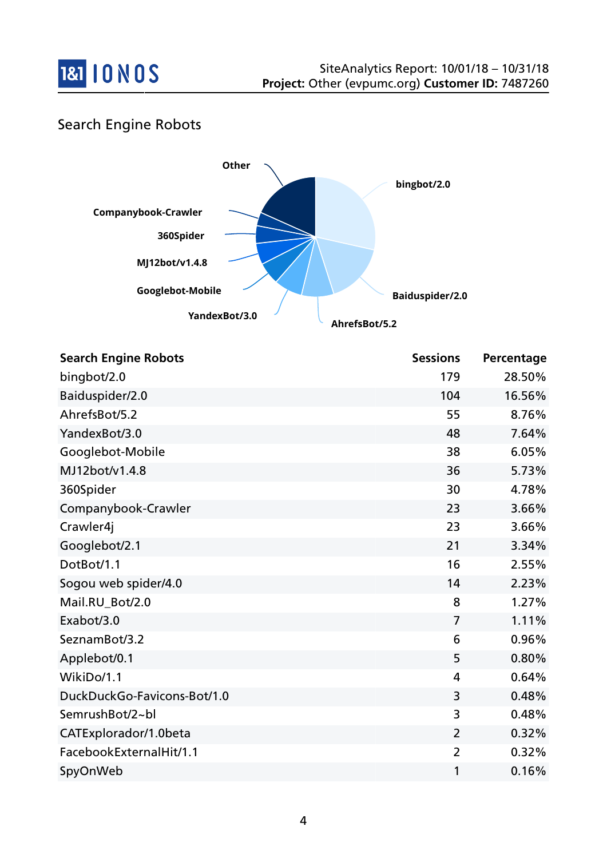

# Search Engine Robots



| <b>Search Engine Robots</b> | <b>Sessions</b> | Percentage |
|-----------------------------|-----------------|------------|
| bingbot/2.0                 | 179             | 28.50%     |
| Baiduspider/2.0             | 104             | 16.56%     |
| AhrefsBot/5.2               | 55              | 8.76%      |
| YandexBot/3.0               | 48              | 7.64%      |
| Googlebot-Mobile            | 38              | 6.05%      |
| MJ12bot/v1.4.8              | 36              | 5.73%      |
| 360Spider                   | 30              | 4.78%      |
| Companybook-Crawler         | 23              | 3.66%      |
| Crawler4j                   | 23              | 3.66%      |
| Googlebot/2.1               | 21              | 3.34%      |
| DotBot/1.1                  | 16              | 2.55%      |
| Sogou web spider/4.0        | 14              | 2.23%      |
| Mail.RU_Bot/2.0             | 8               | 1.27%      |
| Exabot/3.0                  | $\overline{7}$  | 1.11%      |
| SeznamBot/3.2               | 6               | 0.96%      |
| Applebot/0.1                | 5               | 0.80%      |
| WikiDo/1.1                  | 4               | 0.64%      |
| DuckDuckGo-Favicons-Bot/1.0 | 3               | 0.48%      |
| SemrushBot/2~bl             | 3               | 0.48%      |
| CATExplorador/1.0beta       | $\overline{2}$  | 0.32%      |
| FacebookExternalHit/1.1     | $\overline{2}$  | 0.32%      |
| SpyOnWeb                    | 1               | 0.16%      |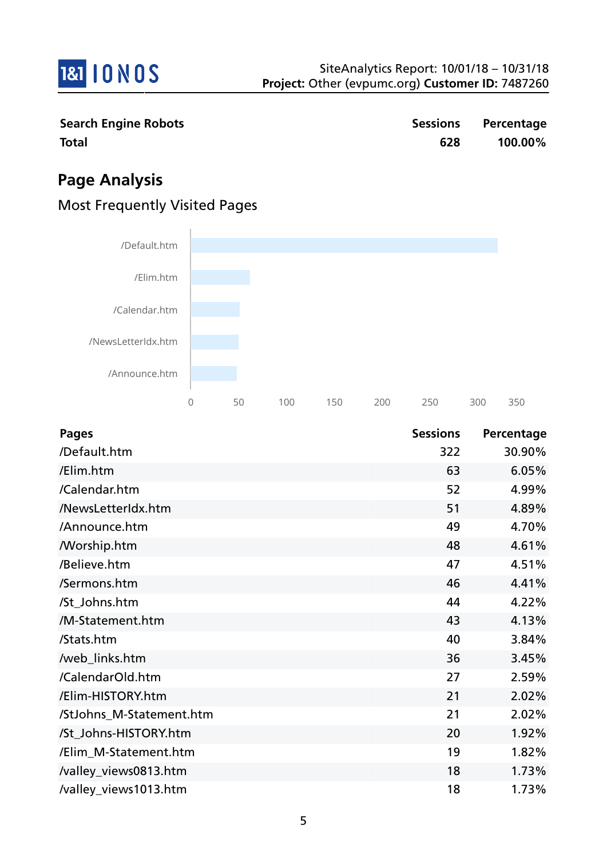

**Search Engine Robots Sessions Percentage Total 628 100.00%**

# **Page Analysis**

# Most Frequently Visited Pages



| <b>Pages</b>             | <b>Sessions</b> | Percentage |
|--------------------------|-----------------|------------|
| /Default.htm             | 322             | 30.90%     |
| /Elim.htm                | 63              | 6.05%      |
| /Calendar.htm            | 52              | 4.99%      |
| /NewsLetterIdx.htm       | 51              | 4.89%      |
| /Announce.htm            | 49              | 4.70%      |
| <b>Morship.htm</b>       | 48              | 4.61%      |
| /Believe.htm             | 47              | 4.51%      |
| /Sermons.htm             | 46              | 4.41%      |
| /St_Johns.htm            | 44              | 4.22%      |
| /M-Statement.htm         | 43              | 4.13%      |
| /Stats.htm               | 40              | 3.84%      |
| /web_links.htm           | 36              | 3.45%      |
| /CalendarOld.htm         | 27              | 2.59%      |
| /Elim-HISTORY.htm        | 21              | 2.02%      |
| /StJohns_M-Statement.htm | 21              | 2.02%      |
| /St_Johns-HISTORY.htm    | 20              | 1.92%      |
| /Elim_M-Statement.htm    | 19              | 1.82%      |
| /valley_views0813.htm    | 18              | 1.73%      |
| /valley_views1013.htm    | 18              | 1.73%      |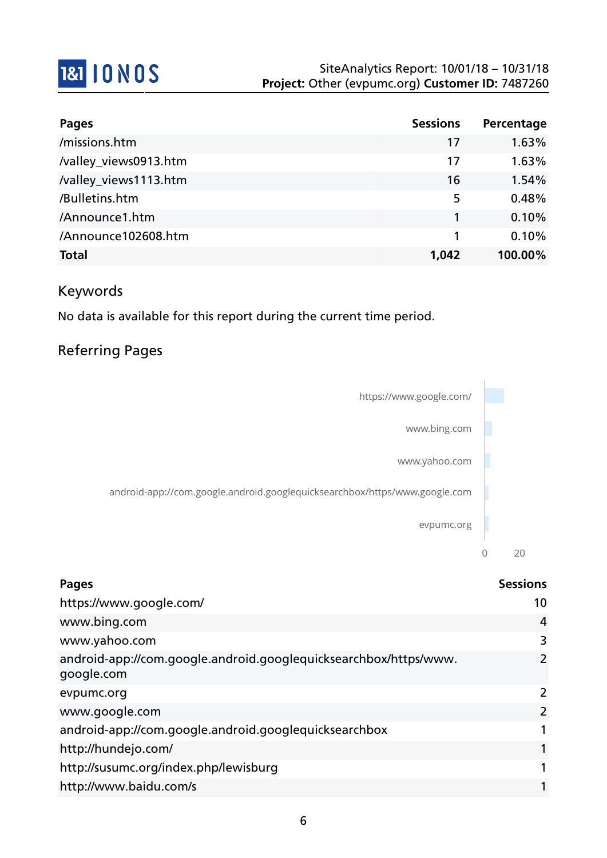

| <b>Pages</b>          | <b>Sessions</b> | Percentage |
|-----------------------|-----------------|------------|
| /missions.htm         | 17              | 1.63%      |
| /valley_views0913.htm | 17              | 1.63%      |
| /valley_views1113.htm | 16              | 1.54%      |
| /Bulletins.htm        | 5               | 0.48%      |
| /Announce1.htm        | 1               | 0.10%      |
| /Announce102608.htm   | 1               | 0.10%      |
| <b>Total</b>          | 1,042           | 100.00%    |

# Keywords

No data is available for this report during the current time period.

# Referring Pages



| <b>Pages</b>                                                                   | <b>Sessions</b>       |
|--------------------------------------------------------------------------------|-----------------------|
| https://www.google.com/                                                        | 10                    |
| www.bing.com                                                                   | 4                     |
| www.yahoo.com                                                                  | 3                     |
| android-app://com.google.android.googlequicksearchbox/https/www.<br>google.com | $\mathbf{2}^{\prime}$ |
| evpumc.org                                                                     | 2                     |
| www.google.com                                                                 | $\overline{2}$        |
| android-app://com.google.android.googlequicksearchbox                          |                       |
| http://hundejo.com/                                                            |                       |
| http://susumc.org/index.php/lewisburg                                          |                       |
| http://www.baidu.com/s                                                         |                       |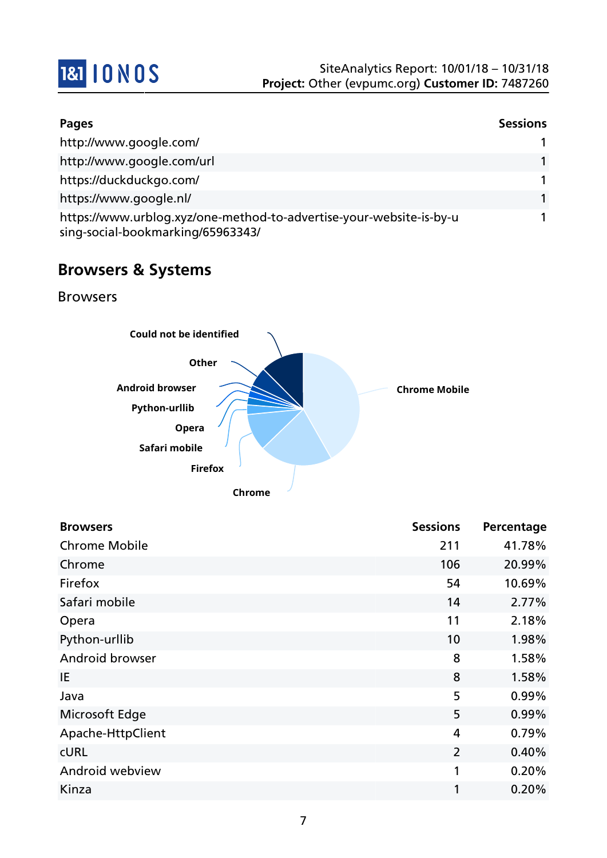

| <b>Pages</b>                                                                                             | <b>Sessions</b> |
|----------------------------------------------------------------------------------------------------------|-----------------|
| http://www.google.com/                                                                                   |                 |
| http://www.google.com/url                                                                                |                 |
| https://duckduckgo.com/                                                                                  | 1               |
| https://www.google.nl/                                                                                   | 1               |
| https://www.urblog.xyz/one-method-to-advertise-your-website-is-by-u<br>sing-social-bookmarking/65963343/ |                 |

# **Browsers & Systems**

Browsers



| <b>Browsers</b>      | <b>Sessions</b> | Percentage |
|----------------------|-----------------|------------|
| <b>Chrome Mobile</b> | 211             | 41.78%     |
| Chrome               | 106             | 20.99%     |
| Firefox              | 54              | 10.69%     |
| Safari mobile        | 14              | 2.77%      |
| Opera                | 11              | 2.18%      |
| Python-urllib        | 10              | 1.98%      |
| Android browser      | 8               | 1.58%      |
| IE                   | 8               | 1.58%      |
| Java                 | 5               | 0.99%      |
| Microsoft Edge       | 5               | 0.99%      |
| Apache-HttpClient    | 4               | 0.79%      |
| <b>CURL</b>          | $\overline{2}$  | 0.40%      |
| Android webview      | 1               | 0.20%      |
| Kinza                | 1               | 0.20%      |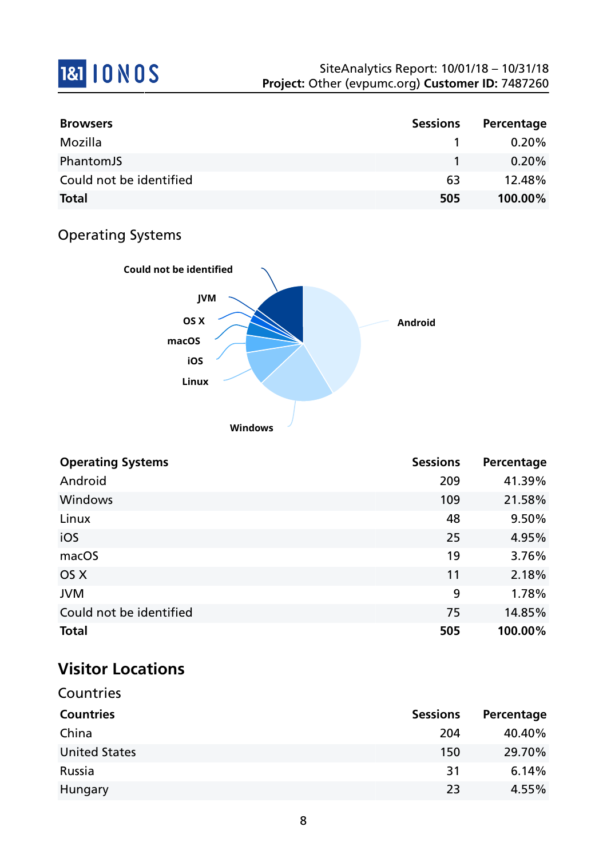# 1&1 10 N 0 S

| <b>Browsers</b>         | <b>Sessions</b> | Percentage |
|-------------------------|-----------------|------------|
| Mozilla                 |                 | $0.20\%$   |
| PhantomJS               |                 | $0.20\%$   |
| Could not be identified | 63              | 12.48%     |
| <b>Total</b>            | 505             | 100.00%    |

# Operating Systems



| <b>Operating Systems</b> | <b>Sessions</b> | Percentage |
|--------------------------|-----------------|------------|
| Android                  | 209             | 41.39%     |
| <b>Windows</b>           | 109             | 21.58%     |
| Linux                    | 48              | 9.50%      |
| iOS                      | 25              | 4.95%      |
| macOS                    | 19              | 3.76%      |
| OS X                     | 11              | 2.18%      |
| <b>JVM</b>               | 9               | 1.78%      |
| Could not be identified  | 75              | 14.85%     |
| <b>Total</b>             | 505             | 100.00%    |

# **Visitor Locations**

| Countries            |                 |            |
|----------------------|-----------------|------------|
| <b>Countries</b>     | <b>Sessions</b> | Percentage |
| China                | 204             | 40.40%     |
| <b>United States</b> | 150             | 29.70%     |
| Russia               | 31              | 6.14%      |
| Hungary              | 23              | 4.55%      |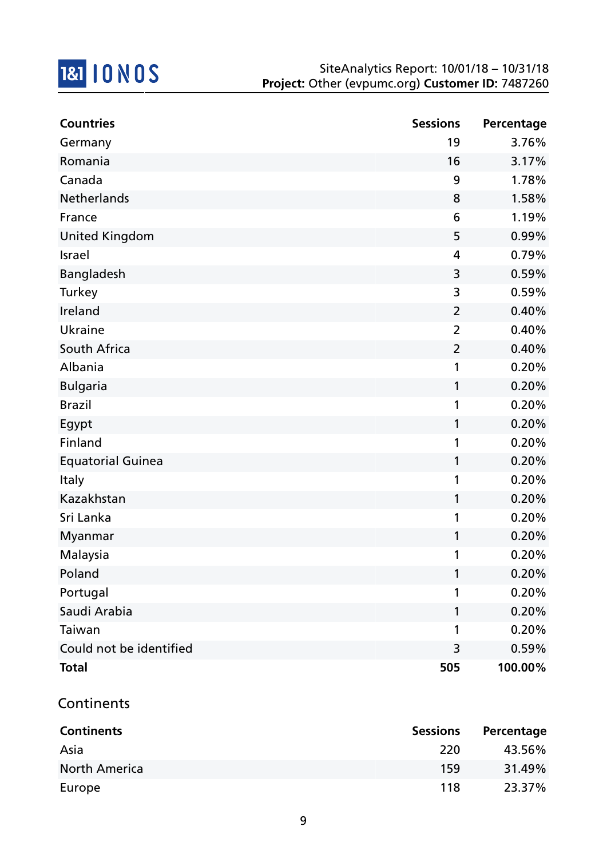

| <b>Countries</b>         | <b>Sessions</b> | Percentage |
|--------------------------|-----------------|------------|
| Germany                  | 19              | 3.76%      |
| Romania                  | 16              | 3.17%      |
| Canada                   | 9               | 1.78%      |
| Netherlands              | 8               | 1.58%      |
| France                   | 6               | 1.19%      |
| <b>United Kingdom</b>    | 5               | 0.99%      |
| <b>Israel</b>            | $\overline{4}$  | 0.79%      |
| Bangladesh               | 3               | 0.59%      |
| <b>Turkey</b>            | 3               | 0.59%      |
| Ireland                  | $\overline{2}$  | 0.40%      |
| Ukraine                  | $\overline{2}$  | 0.40%      |
| South Africa             | $\overline{2}$  | 0.40%      |
| Albania                  | 1               | 0.20%      |
| <b>Bulgaria</b>          | 1               | 0.20%      |
| <b>Brazil</b>            | 1               | 0.20%      |
| Egypt                    | 1               | 0.20%      |
| Finland                  | 1               | 0.20%      |
| <b>Equatorial Guinea</b> | 1               | 0.20%      |
| <b>Italy</b>             | 1               | 0.20%      |
| Kazakhstan               | 1               | 0.20%      |
| Sri Lanka                | 1               | 0.20%      |
| Myanmar                  | 1               | 0.20%      |
| Malaysia                 | 1               | 0.20%      |
| Poland                   |                 | 0.20%      |
| Portugal                 | 1               | 0.20%      |
| Saudi Arabia             | 1               | 0.20%      |
| Taiwan                   | 1               | 0.20%      |
| Could not be identified  | 3               | 0.59%      |
| <b>Total</b>             | 505             | 100.00%    |

# Continents

| <b>Continents</b>    | <b>Sessions</b> | Percentage |
|----------------------|-----------------|------------|
| Asia                 | 220             | 43.56%     |
| <b>North America</b> | 159             | 31.49%     |
| Europe               | 118             | 23.37%     |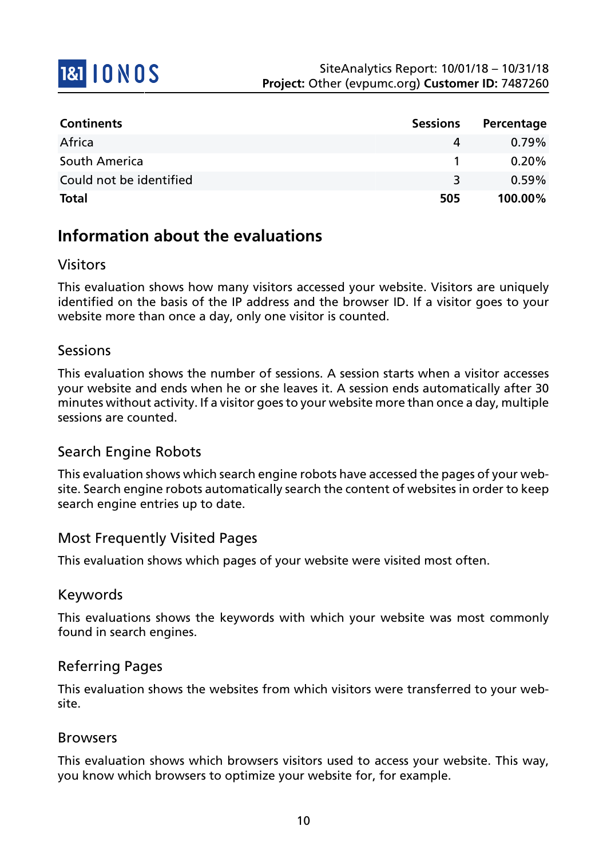

| <b>Continents</b>       | <b>Sessions</b> | Percentage |
|-------------------------|-----------------|------------|
| Africa                  | 4               | $0.79\%$   |
| South America           |                 | $0.20\%$   |
| Could not be identified | २               | $0.59\%$   |
| <b>Total</b>            | 505             | 100.00%    |

# **Information about the evaluations**

## Visitors

This evaluation shows how many visitors accessed your website. Visitors are uniquely identified on the basis of the IP address and the browser ID. If a visitor goes to your website more than once a day, only one visitor is counted.

## Sessions

This evaluation shows the number of sessions. A session starts when a visitor accesses your website and ends when he or she leaves it. A session ends automatically after 30 minutes without activity. If a visitor goes to your website more than once a day, multiple sessions are counted.

## Search Engine Robots

This evaluation shows which search engine robots have accessed the pages of your website. Search engine robots automatically search the content of websites in order to keep search engine entries up to date.

## Most Frequently Visited Pages

This evaluation shows which pages of your website were visited most often.

#### Keywords

This evaluations shows the keywords with which your website was most commonly found in search engines.

## Referring Pages

This evaluation shows the websites from which visitors were transferred to your website.

#### Browsers

This evaluation shows which browsers visitors used to access your website. This way, you know which browsers to optimize your website for, for example.